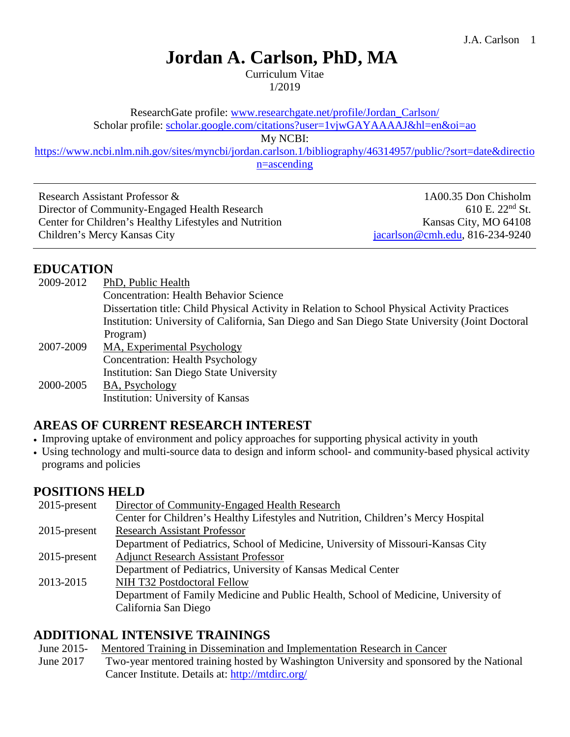# **Jordan A. Carlson, PhD, MA**

Curriculum Vitae 1/2019

ResearchGate profile: www.researchgate.net/profile/Jordan\_Carlson/

Scholar profile: [scholar.google.com/citations?user=1vjwGAYAAAAJ&hl=en&oi=ao](http://scholar.google.com/citations?user=1vjwGAYAAAAJ&hl=en&oi=ao)

My NCBI:

[https://www.ncbi.nlm.nih.gov/sites/myncbi/jordan.carlson.1/bibliography/46314957/public/?sort=date&directio](https://www.ncbi.nlm.nih.gov/sites/myncbi/jordan.carlson.1/bibliography/46314957/public/?sort=date&direction=ascending) [n=ascending](https://www.ncbi.nlm.nih.gov/sites/myncbi/jordan.carlson.1/bibliography/46314957/public/?sort=date&direction=ascending)

Research Assistant Professor & Director of Community-Engaged Health Research Center for Children's Healthy Lifestyles and Nutrition Children's Mercy Kansas City

1A00.35 Don Chisholm 610 E.  $22<sup>nd</sup>$  St. Kansas City, MO 64108 [jacarlson@cmh.edu,](mailto:jacarlson@cmh.edu) 816-234-9240

# **EDUCATION**

| 2009-2012 | PhD, Public Health                                                                              |
|-----------|-------------------------------------------------------------------------------------------------|
|           | <b>Concentration: Health Behavior Science</b>                                                   |
|           | Dissertation title: Child Physical Activity in Relation to School Physical Activity Practices   |
|           | Institution: University of California, San Diego and San Diego State University (Joint Doctoral |
|           | Program)                                                                                        |
| 2007-2009 | MA, Experimental Psychology                                                                     |
|           | <b>Concentration: Health Psychology</b>                                                         |
|           | <b>Institution: San Diego State University</b>                                                  |
| 2000-2005 | BA, Psychology                                                                                  |
|           | <b>Institution: University of Kansas</b>                                                        |

# **AREAS OF CURRENT RESEARCH INTEREST**

- Improving uptake of environment and policy approaches for supporting physical activity in youth
- Using technology and multi-source data to design and inform school- and community-based physical activity programs and policies

#### **POSITIONS HELD**

| $2015$ -present | Director of Community-Engaged Health Research                                      |
|-----------------|------------------------------------------------------------------------------------|
|                 | Center for Children's Healthy Lifestyles and Nutrition, Children's Mercy Hospital  |
| $2015$ -present | <b>Research Assistant Professor</b>                                                |
|                 | Department of Pediatrics, School of Medicine, University of Missouri-Kansas City   |
| $2015$ -present | <b>Adjunct Research Assistant Professor</b>                                        |
|                 | Department of Pediatrics, University of Kansas Medical Center                      |
| 2013-2015       | NIH T32 Postdoctoral Fellow                                                        |
|                 | Department of Family Medicine and Public Health, School of Medicine, University of |
|                 | California San Diego                                                               |

# **ADDITIONAL INTENSIVE TRAININGS**

June 2015- Mentored Training in Dissemination and Implementation Research in Cancer

June 2017 Two-year mentored training hosted by Washington University and sponsored by the National Cancer Institute. Details at:<http://mtdirc.org/>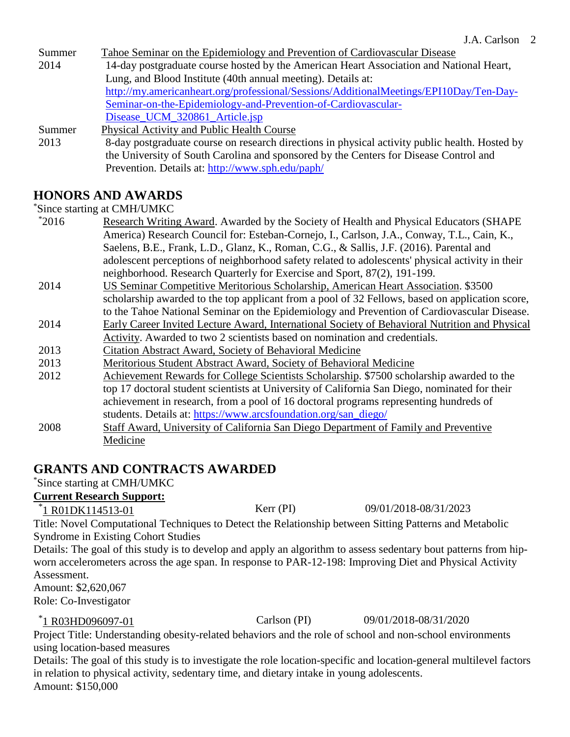Summer 2014 Tahoe Seminar on the Epidemiology and Prevention of Cardiovascular Disease 14-day postgraduate course hosted by the American Heart Association and National Heart, Lung, and Blood Institute (40th annual meeting). Details at: [http://my.americanheart.org/professional/Sessions/AdditionalMeetings/EPI10Day/Ten-Day-](http://my.americanheart.org/professional/Sessions/AdditionalMeetings/EPI10Day/Ten-Day-Seminar-on-the-Epidemiology-and-Prevention-of-Cardiovascular-Disease_UCM_320861_Article.jsp)[Seminar-on-the-Epidemiology-and-Prevention-of-Cardiovascular-](http://my.americanheart.org/professional/Sessions/AdditionalMeetings/EPI10Day/Ten-Day-Seminar-on-the-Epidemiology-and-Prevention-of-Cardiovascular-Disease_UCM_320861_Article.jsp)Disease UCM 320861 Article.jsp Summer 2013 Physical Activity and Public Health Course 8-day postgraduate course on research directions in physical activity public health. Hosted by the University of South Carolina and sponsored by the Centers for Disease Control and

# **HONORS AND AWARDS**

\* Since starting at CMH/UMKC

- $*2016$ Research Writing Award. Awarded by the Society of Health and Physical Educators (SHAPE America) Research Council for: Esteban-Cornejo, I., Carlson, J.A., Conway, T.L., Cain, K., Saelens, B.E., Frank, L.D., Glanz, K., Roman, C.G., & Sallis, J.F. (2016). Parental and adolescent perceptions of neighborhood safety related to adolescents' physical activity in their neighborhood. Research Quarterly for Exercise and Sport, 87(2), 191-199.
- 2014 US Seminar Competitive Meritorious Scholarship, American Heart Association. \$3500 scholarship awarded to the top applicant from a pool of 32 Fellows, based on application score, to the Tahoe National Seminar on the Epidemiology and Prevention of Cardiovascular Disease.
- 2014 Early Career Invited Lecture Award, International Society of Behavioral Nutrition and Physical Activity. Awarded to two 2 scientists based on nomination and credentials.
- 2013 Citation Abstract Award, Society of Behavioral Medicine
- 2013 Meritorious Student Abstract Award, Society of Behavioral Medicine

Prevention. Details at:<http://www.sph.edu/paph/>

- 2012 Achievement Rewards for College Scientists Scholarship. \$7500 scholarship awarded to the top 17 doctoral student scientists at University of California San Diego, nominated for their achievement in research, from a pool of 16 doctoral programs representing hundreds of students. Details at: [https://www.arcsfoundation.org/san\\_diego/](https://www.arcsfoundation.org/san_diego/)
- 2008 Staff Award, University of California San Diego Department of Family and Preventive Medicine

# **GRANTS AND CONTRACTS AWARDED**

\* Since starting at CMH/UMKC

#### **Current Research Support:**

\*<u>1 R01DK114513-01</u> Kerr (PI) 09/01/2018-08/31/2023

Title: Novel Computational Techniques to Detect the Relationship between Sitting Patterns and Metabolic Syndrome in Existing Cohort Studies

Details: The goal of this study is to develop and apply an algorithm to assess sedentary bout patterns from hipworn accelerometers across the age span. In response to PAR-12-198: Improving Diet and Physical Activity Assessment.

Amount: \$2,620,067 Role: Co-Investigator

\*<u>1 R03HD096097-01</u> Carlson (PI) 09/01/2018-08/31/2020

Project Title: Understanding obesity-related behaviors and the role of school and non-school environments using location-based measures

Details: The goal of this study is to investigate the role location-specific and location-general multilevel factors in relation to physical activity, sedentary time, and dietary intake in young adolescents. Amount: \$150,000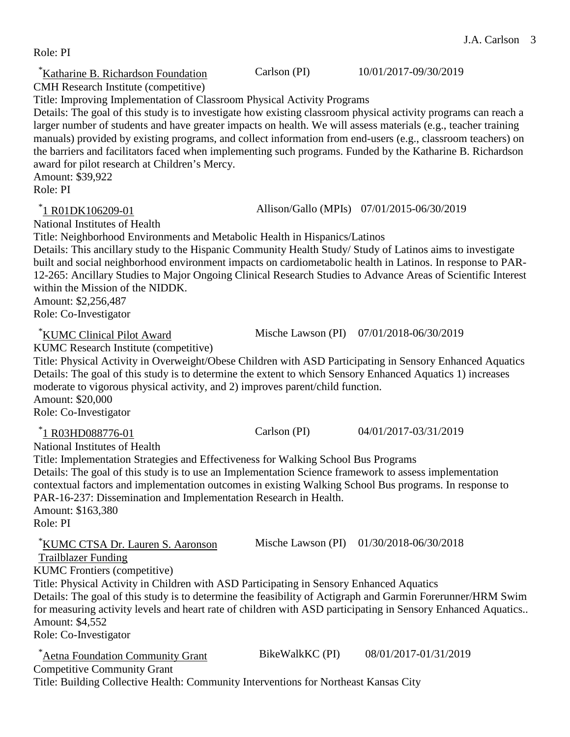| Title: Improving Implementation of Classroom Physical Activity Programs<br>Details: The goal of this study is to investigate how existing classroom physical activity programs can reach a<br>larger number of students and have greater impacts on health. We will assess materials (e.g., teacher training<br>manuals) provided by existing programs, and collect information from end-users (e.g., classroom teachers) on<br>the barriers and facilitators faced when implementing such programs. Funded by the Katharine B. Richardson<br>award for pilot research at Children's Mercy.<br>Amount: \$39,922<br>Role: PI |                    |                                            |
|-----------------------------------------------------------------------------------------------------------------------------------------------------------------------------------------------------------------------------------------------------------------------------------------------------------------------------------------------------------------------------------------------------------------------------------------------------------------------------------------------------------------------------------------------------------------------------------------------------------------------------|--------------------|--------------------------------------------|
| *1 R01DK106209-01<br>National Institutes of Health<br>Title: Neighborhood Environments and Metabolic Health in Hispanics/Latinos<br>Details: This ancillary study to the Hispanic Community Health Study/Study of Latinos aims to investigate<br>built and social neighborhood environment impacts on cardiometabolic health in Latinos. In response to PAR-<br>12-265: Ancillary Studies to Major Ongoing Clinical Research Studies to Advance Areas of Scientific Interest<br>within the Mission of the NIDDK.<br>Amount: \$2,256,487<br>Role: Co-Investigator                                                            |                    | Allison/Gallo (MPIs) 07/01/2015-06/30/2019 |
| KUMC Clinical Pilot Award<br>KUMC Research Institute (competitive)<br>Title: Physical Activity in Overweight/Obese Children with ASD Participating in Sensory Enhanced Aquatics<br>Details: The goal of this study is to determine the extent to which Sensory Enhanced Aquatics 1) increases<br>moderate to vigorous physical activity, and 2) improves parent/child function.<br>Amount: \$20,000<br>Role: Co-Investigator                                                                                                                                                                                                |                    | Mische Lawson (PI) 07/01/2018-06/30/2019   |
| *1 R03HD088776-01<br>National Institutes of Health<br>Title: Implementation Strategies and Effectiveness for Walking School Bus Programs<br>Details: The goal of this study is to use an Implementation Science framework to assess implementation<br>contextual factors and implementation outcomes in existing Walking School Bus programs. In response to<br>PAR-16-237: Dissemination and Implementation Research in Health.<br>Amount: \$163,380<br>Role: PI                                                                                                                                                           | Carlson (PI)       | 04/01/2017-03/31/2019                      |
| KUMC CTSA Dr. Lauren S. Aaronson<br><b>Trailblazer Funding</b><br><b>KUMC</b> Frontiers (competitive)<br>Title: Physical Activity in Children with ASD Participating in Sensory Enhanced Aquatics<br>Details: The goal of this study is to determine the feasibility of Actigraph and Garmin Forerunner/HRM Swim<br>for measuring activity levels and heart rate of children with ASD participating in Sensory Enhanced Aquatics<br>Amount: \$4,552<br>Role: Co-Investigator                                                                                                                                                | Mische Lawson (PI) | 01/30/2018-06/30/2018                      |
| Aetna Foundation Community Grant<br><b>Competitive Community Grant</b>                                                                                                                                                                                                                                                                                                                                                                                                                                                                                                                                                      | BikeWalkKC (PI)    | 08/01/2017-01/31/2019                      |

\* Katharine B. Richardson Foundation Carlson (PI) 10/01/2017-09/30/2019

Role: PI

CMH Research Institute (competitive)

Title: Building Collective Health: Community Interventions for Northeast Kansas City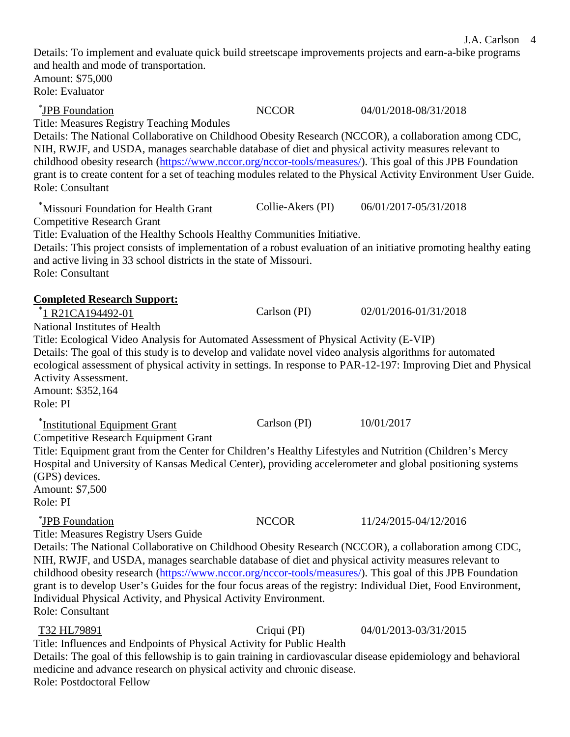Details: To implement and evaluate quick build streetscape improvements projects and earn-a-bike programs and health and mode of transportation. Amount: \$75,000 Role: Evaluator \*JPB Foundation NCCOR 04/01/2018-08/31/2018 Title: Measures Registry Teaching Modules Details: The National Collaborative on Childhood Obesity Research (NCCOR), a collaboration among CDC, NIH, RWJF, and USDA, manages searchable database of diet and physical activity measures relevant to childhood obesity research [\(https://www.nccor.org/nccor-tools/measures/\)](https://www.nccor.org/nccor-tools/measures/). This goal of this JPB Foundation grant is to create content for a set of teaching modules related to the Physical Activity Environment User Guide. Role: Consultant \* Missouri Foundation for Health Grant Collie-Akers (PI) 06/01/2017-05/31/2018 Competitive Research Grant Title: Evaluation of the Healthy Schools Healthy Communities Initiative. Details: This project consists of implementation of a robust evaluation of an initiative promoting healthy eating and active living in 33 school districts in the state of Missouri. Role: Consultant **Completed Research Support:** \* 1 R21CA194492-01 Carlson (PI) 02/01/2016-01/31/2018 National Institutes of Health Title: Ecological Video Analysis for Automated Assessment of Physical Activity (E-VIP) Details: The goal of this study is to develop and validate novel video analysis algorithms for automated ecological assessment of physical activity in settings. In response to PAR-12-197: Improving Diet and Physical Activity Assessment. Amount: \$352,164 Role: PI <sup>\*</sup>Institutional Equipment Grant Carlson (PI) 10/01/2017 Competitive Research Equipment Grant Title: Equipment grant from the Center for Children's Healthy Lifestyles and Nutrition (Children's Mercy Hospital and University of Kansas Medical Center), providing accelerometer and global positioning systems (GPS) devices. Amount: \$7,500 Role: PI \*JPB Foundation NCCOR 11/24/2015-04/12/2016 Title: Measures Registry Users Guide Details: The National Collaborative on Childhood Obesity Research (NCCOR), a collaboration among CDC, NIH, RWJF, and USDA, manages searchable database of diet and physical activity measures relevant to childhood obesity research [\(https://www.nccor.org/nccor-tools/measures/\)](https://www.nccor.org/nccor-tools/measures/). This goal of this JPB Foundation grant is to develop User's Guides for the four focus areas of the registry: Individual Diet, Food Environment, Individual Physical Activity, and Physical Activity Environment. Role: Consultant T32 HL79891 Criqui (PI) 04/01/2013-03/31/2015 Title: Influences and Endpoints of Physical Activity for Public Health Details: The goal of this fellowship is to gain training in cardiovascular disease epidemiology and behavioral

J.A. Carlson 4

medicine and advance research on physical activity and chronic disease. Role: Postdoctoral Fellow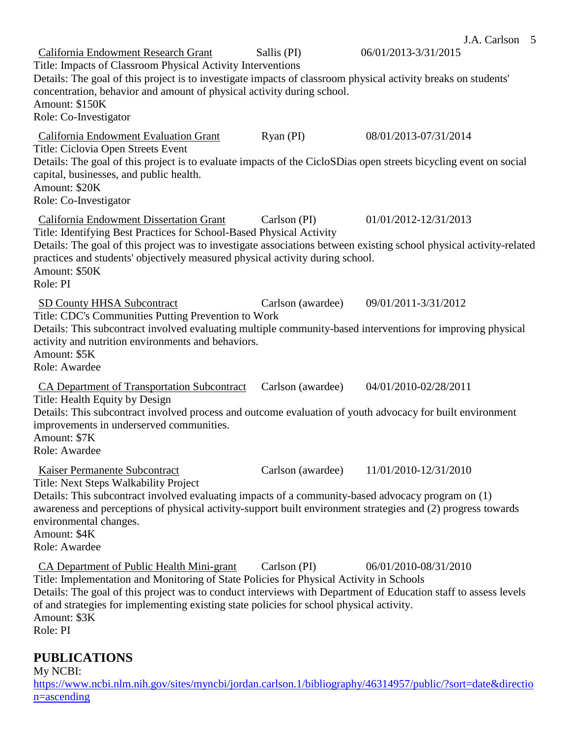J.A. Carlson 5 California Endowment Research Grant Sallis (PI) 06/01/2013-3/31/2015 Title: Impacts of Classroom Physical Activity Interventions Details: The goal of this project is to investigate impacts of classroom physical activity breaks on students' concentration, behavior and amount of physical activity during school. Amount: \$150K Role: Co-Investigator California Endowment Evaluation Grant Ryan (PI) 08/01/2013-07/31/2014 Title: Ciclovia Open Streets Event Details: The goal of this project is to evaluate impacts of the CicloSDias open streets bicycling event on social capital, businesses, and public health. Amount: \$20K Role: Co-Investigator California Endowment Dissertation Grant Carlson (PI) 01/01/2012-12/31/2013 Title: Identifying Best Practices for School-Based Physical Activity Details: The goal of this project was to investigate associations between existing school physical activity-related practices and students' objectively measured physical activity during school. Amount: \$50K Role: PI SD County HHSA Subcontract Carlson (awardee) 09/01/2011-3/31/2012 Title: CDC's Communities Putting Prevention to Work Details: This subcontract involved evaluating multiple community-based interventions for improving physical activity and nutrition environments and behaviors. Amount: \$5K Role: Awardee CA Department of Transportation Subcontract Carlson (awardee) 04/01/2010-02/28/2011 Title: Health Equity by Design Details: This subcontract involved process and outcome evaluation of youth advocacy for built environment improvements in underserved communities. Amount: \$7K Role: Awardee Kaiser Permanente Subcontract Carlson (awardee) 11/01/2010-12/31/2010 Title: Next Steps Walkability Project Details: This subcontract involved evaluating impacts of a community-based advocacy program on (1) awareness and perceptions of physical activity-support built environment strategies and (2) progress towards environmental changes. Amount: \$4K Role: Awardee CA Department of Public Health Mini-grant Carlson (PI) 06/01/2010-08/31/2010 Title: Implementation and Monitoring of State Policies for Physical Activity in Schools Details: The goal of this project was to conduct interviews with Department of Education staff to assess levels of and strategies for implementing existing state policies for school physical activity. Amount: \$3K Role: PI

#### **PUBLICATIONS**

My NCBI: [https://www.ncbi.nlm.nih.gov/sites/myncbi/jordan.carlson.1/bibliography/46314957/public/?sort=date&directio](https://www.ncbi.nlm.nih.gov/sites/myncbi/jordan.carlson.1/bibliography/46314957/public/?sort=date&direction=ascending) [n=ascending](https://www.ncbi.nlm.nih.gov/sites/myncbi/jordan.carlson.1/bibliography/46314957/public/?sort=date&direction=ascending)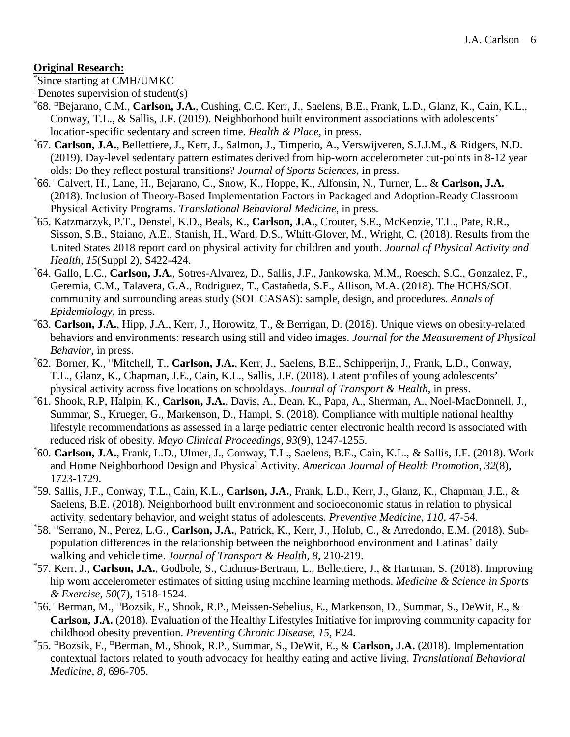#### **Original Research:**

\* Since starting at CMH/UMKC

 $\Box$ Denotes supervision of student(s)

- \* 68. □Bejarano, C.M., **Carlson, J.A.**, Cushing, C.C. Kerr, J., Saelens, B.E., Frank, L.D., Glanz, K., Cain, K.L., Conway, T.L., & Sallis, J.F. (2019). Neighborhood built environment associations with adolescents' location-specific sedentary and screen time. *Health & Place,* in press.
- \* 67. **Carlson, J.A.**, Bellettiere, J., Kerr, J., Salmon, J., Timperio, A., Verswijveren, S.J.J.M., & Ridgers, N.D. (2019). Day-level sedentary pattern estimates derived from hip-worn accelerometer cut-points in 8-12 year olds: Do they reflect postural transitions? *Journal of Sports Sciences,* in press.
- \* 66. □Calvert, H., Lane, H., Bejarano, C., Snow, K., Hoppe, K., Alfonsin, N., Turner, L., & **Carlson, J.A.** (2018). Inclusion of Theory-Based Implementation Factors in Packaged and Adoption-Ready Classroom Physical Activity Programs. *Translational Behavioral Medicine*, in press*.*
- \* 65. Katzmarzyk, P.T., Denstel, K.D., Beals, K., **Carlson, J.A.**, Crouter, S.E., McKenzie, T.L., Pate, R.R., Sisson, S.B., Staiano, A.E., Stanish, H., Ward, D.S., Whitt-Glover, M., Wright, C. (2018). Results from the United States 2018 report card on physical activity for children and youth. *Journal of Physical Activity and Health, 15*(Suppl 2), S422-424.
- 64. Gallo, L.C., **Carlson, J.A.**, Sotres-Alvarez, D., Sallis, J.F., Jankowska, M.M., Roesch, S.C., Gonzalez, F., Geremia, C.M., Talavera, G.A., Rodriguez, T., Castañeda, S.F., Allison, M.A. (2018). The HCHS/SOL community and surrounding areas study (SOL CASAS): sample, design, and procedures. *Annals of Epidemiology*, in press. \*
- 63. **Carlson, J.A.**, Hipp, J.A., Kerr, J., Horowitz, T., & Berrigan, D. (2018). Unique views on obesity-related behaviors and environments: research using still and video images. *Journal for the Measurement of Physical Behavior*, in press.
- \* 62. □Borner, K., □Mitchell, T., **Carlson, J.A.**, Kerr, J., Saelens, B.E., Schipperijn, J., Frank, L.D., Conway, T.L., Glanz, K., Chapman, J.E., Cain, K.L., Sallis, J.F. (2018). Latent profiles of young adolescents' physical activity across five locations on schooldays. *Journal of Transport & Health*, in press.
- \* 61. Shook, R.P, Halpin, K., **Carlson, J.A.**, Davis, A., Dean, K., Papa, A., Sherman, A., Noel-MacDonnell, J., Summar, S., Krueger, G., Markenson, D., Hampl, S. (2018). Compliance with multiple national healthy lifestyle recommendations as assessed in a large pediatric center electronic health record is associated with reduced risk of obesity. *Mayo Clinical Proceedings, 93*(9), 1247-1255.
- \* 60. **Carlson, J.A.**, Frank, L.D., Ulmer, J., Conway, T.L., Saelens, B.E., Cain, K.L., & Sallis, J.F. (2018). Work and Home Neighborhood Design and Physical Activity. *American Journal of Health Promotion, 32*(8), 1723-1729.
- \* 59. Sallis, J.F., Conway, T.L., Cain, K.L., **Carlson, J.A.**, Frank, L.D., Kerr, J., Glanz, K., Chapman, J.E., & Saelens, B.E. (2018). Neighborhood built environment and socioeconomic status in relation to physical activity, sedentary behavior, and weight status of adolescents. *Preventive Medicine, 110*, 47-54*.*
- \* 58. □Serrano, N., Perez, L.G., **Carlson, J.A.**, Patrick, K., Kerr, J., Holub, C., & Arredondo, E.M. (2018). Subpopulation differences in the relationship between the neighborhood environment and Latinas' daily walking and vehicle time. *Journal of Transport & Health, 8*, 210-219.
- \* 57. Kerr, J., **Carlson, J.A.**, Godbole, S., Cadmus-Bertram, L., Bellettiere, J., & Hartman, S. (2018). Improving hip worn accelerometer estimates of sitting using machine learning methods. *Medicine & Science in Sports & Exercise, 50*(7), 1518-1524.
- \* 56. □Berman, M., □Bozsik, F., Shook, R.P., Meissen-Sebelius, E., Markenson, D., Summar, S., DeWit, E., & **Carlson, J.A.** (2018). Evaluation of the Healthy Lifestyles Initiative for improving community capacity for childhood obesity prevention. *Preventing Chronic Disease, 15*, E24.
- \* 55. □Bozsik, F., □Berman, M., Shook, R.P., Summar, S., DeWit, E., & **Carlson, J.A.** (2018). Implementation contextual factors related to youth advocacy for healthy eating and active living. *Translational Behavioral Medicine, 8*, 696-705.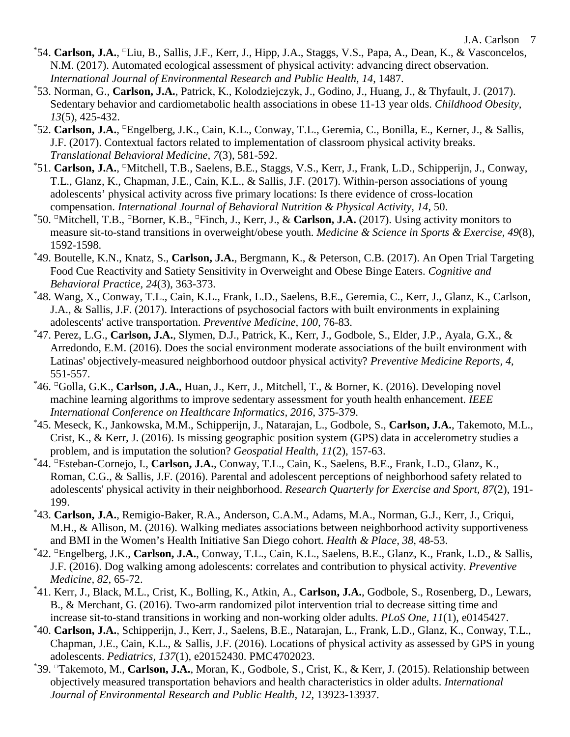- \*54. **Carlson, J.A.**, <sup>□</sup>Liu, B., Sallis, J.F., Kerr, J., Hipp, J.A., Staggs, V.S., Papa, A., Dean, K., & Vasconcelos, N.M. (2017). Automated ecological assessment of physical activity: advancing direct observation. *International Journal of Environmental Research and Public Health, 14*, 1487.
- \* 53. Norman, G., **Carlson, J.A.**, Patrick, K., Kolodziejczyk, J., Godino, J., Huang, J., & Thyfault, J. (2017). Sedentary behavior and cardiometabolic health associations in obese 11-13 year olds. *Childhood Obesity, 13*(5), 425-432.
- \* 52. **Carlson, J.A.**, □Engelberg, J.K., Cain, K.L., Conway, T.L., Geremia, C., Bonilla, E., Kerner, J., & Sallis, J.F. (2017). Contextual factors related to implementation of classroom physical activity breaks. *Translational Behavioral Medicine, 7*(3), 581-592.
- \*51. Carlson, J.A., <sup>□</sup>Mitchell, T.B., Saelens, B.E., Staggs, V.S., Kerr, J., Frank, L.D., Schipperijn, J., Conway, T.L., Glanz, K., Chapman, J.E., Cain, K.L., & Sallis, J.F. (2017). Within-person associations of young adolescents' physical activity across five primary locations: Is there evidence of cross-location compensation. *International Journal of Behavioral Nutrition & Physical Activity, 14*, 50. \*
- 50. □Mitchell, T.B., □Borner, K.B., □Finch, J., Kerr, J., & **Carlson, J.A.** (2017). Using activity monitors to measure sit-to-stand transitions in overweight/obese youth. *Medicine & Science in Sports & Exercise, 49*(8), 1592-1598.
- \* 49. Boutelle, K.N., Knatz, S., **Carlson, J.A.**, Bergmann, K., & Peterson, C.B. (2017). An Open Trial Targeting Food Cue Reactivity and Satiety Sensitivity in Overweight and Obese Binge Eaters. *Cognitive and Behavioral Practice, 24*(3), 363-373.
- \* 48. Wang, X., Conway, T.L., Cain, K.L., Frank, L.D., Saelens, B.E., Geremia, C., Kerr, J., Glanz, K., Carlson, J.A., & Sallis, J.F. (2017). Interactions of psychosocial factors with built environments in explaining adolescents' active transportation. *Preventive Medicine, 100*, 76-83.
- \* 47. Perez, L.G., **Carlson, J.A.**, Slymen, D.J., Patrick, K., Kerr, J., Godbole, S., Elder, J.P., Ayala, G.X., & Arredondo, E.M. (2016). Does the social environment moderate associations of the built environment with Latinas' objectively-measured neighborhood outdoor physical activity? *Preventive Medicine Reports, 4*, 551-557.
- \* 46. □Golla, G.K., **Carlson, J.A.**, Huan, J., Kerr, J., Mitchell, T., & Borner, K. (2016). Developing novel machine learning algorithms to improve sedentary assessment for youth health enhancement. *IEEE International Conference on Healthcare Informatics, 2016*, 375-379.
- \* 45. Meseck, K., Jankowska, M.M., Schipperijn, J., Natarajan, L., Godbole, S., **Carlson, J.A.**, Takemoto, M.L., Crist, K., & Kerr, J. (2016). Is missing geographic position system (GPS) data in accelerometry studies a problem, and is imputation the solution? *Geospatial Health, 11*(2), 157-63.
- \* 44. □Esteban-Cornejo, I., **Carlson, J.A.**, Conway, T.L., Cain, K., Saelens, B.E., Frank, L.D., Glanz, K., Roman, C.G., & Sallis, J.F. (2016). Parental and adolescent perceptions of neighborhood safety related to adolescents' physical activity in their neighborhood. *Research Quarterly for Exercise and Sport, 87*(2), 191- 199.
- \* 43. **Carlson, J.A.**, Remigio-Baker, R.A., Anderson, C.A.M., Adams, M.A., Norman, G.J., Kerr, J., Criqui, M.H., & Allison, M. (2016). Walking mediates associations between neighborhood activity supportiveness and BMI in the Women's Health Initiative San Diego cohort. *Health & Place, 38*, 48-53.
- \* 42. □Engelberg, J.K., **Carlson, J.A.**, Conway, T.L., Cain, K.L., Saelens, B.E., Glanz, K., Frank, L.D., & Sallis, J.F. (2016). Dog walking among adolescents: correlates and contribution to physical activity. *Preventive Medicine, 82*, 65-72.
- \* 41. Kerr, J., Black, M.L., Crist, K., Bolling, K., Atkin, A., **Carlson, J.A.**, Godbole, S., Rosenberg, D., Lewars, B., & Merchant, G. (2016). Two-arm randomized pilot intervention trial to decrease sitting time and increase sit-to-stand transitions in working and non-working older adults. *PLoS One, 11*(1), e0145427.
- \* 40. **Carlson, J.A.**, Schipperijn, J., Kerr, J., Saelens, B.E., Natarajan, L., Frank, L.D., Glanz, K., Conway, T.L., Chapman, J.E., Cain, K.L., & Sallis, J.F. (2016). Locations of physical activity as assessed by GPS in young adolescents. *Pediatrics, 137*(1), e20152430. PMC4702023.
- \* 39. □Takemoto, M., **Carlson, J.A.**, Moran, K., Godbole, S., Crist, K., & Kerr, J. (2015). Relationship between objectively measured transportation behaviors and health characteristics in older adults. *International Journal of Environmental Research and Public Health, 12*, 13923-13937.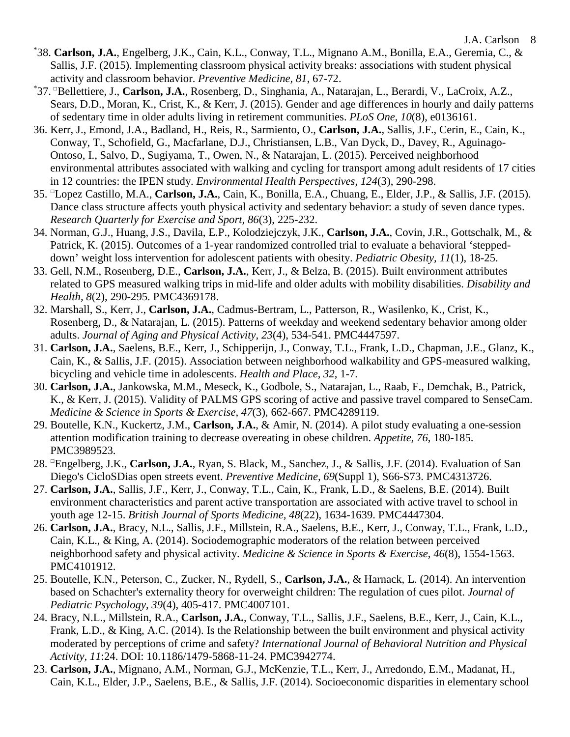- \* 38. **Carlson, J.A.**, Engelberg, J.K., Cain, K.L., Conway, T.L., Mignano A.M., Bonilla, E.A., Geremia, C., & Sallis, J.F. (2015). Implementing classroom physical activity breaks: associations with student physical activity and classroom behavior. *Preventive Medicine, 81*, 67-72.
- \* 37. □Bellettiere, J., **Carlson, J.A.**, Rosenberg, D., Singhania, A., Natarajan, L., Berardi, V., LaCroix, A.Z., Sears, D.D., Moran, K., Crist, K., & Kerr, J. (2015). Gender and age differences in hourly and daily patterns of sedentary time in older adults living in retirement communities. *PLoS One, 10*(8), e0136161.
- 36. Kerr, J., Emond, J.A., Badland, H., Reis, R., Sarmiento, O., **Carlson, J.A.**, Sallis, J.F., Cerin, E., Cain, K., Conway, T., Schofield, G., Macfarlane, D.J., Christiansen, L.B., Van Dyck, D., Davey, R., Aguinago-Ontoso, I., Salvo, D., Sugiyama, T., Owen, N., & Natarajan, L. (2015). Perceived neighborhood environmental attributes associated with walking and cycling for transport among adult residents of 17 cities in 12 countries: the IPEN study. *Environmental Health Perspectives, 124*(3), 290-298.
- 35. □Lopez Castillo, M.A., **Carlson, J.A.**, Cain, K., Bonilla, E.A., Chuang, E., Elder, J.P., & Sallis, J.F. (2015). Dance class structure affects youth physical activity and sedentary behavior: a study of seven dance types. *Research Quarterly for Exercise and Sport, 86*(3), 225-232.
- 34. Norman, G.J., Huang, J.S., Davila, E.P., Kolodziejczyk, J.K., **Carlson, J.A.**, Covin, J.R., Gottschalk, M., & Patrick, K. (2015). Outcomes of a 1-year randomized controlled trial to evaluate a behavioral 'steppeddown' weight loss intervention for adolescent patients with obesity. *Pediatric Obesity, 11*(1), 18-25.
- 33. Gell, N.M., Rosenberg, D.E., **Carlson, J.A.**, Kerr, J., & Belza, B. (2015). Built environment attributes related to GPS measured walking trips in mid-life and older adults with mobility disabilities. *Disability and Health, 8*(2), 290-295. PMC4369178.
- 32. Marshall, S., Kerr, J., **Carlson, J.A.**, Cadmus-Bertram, L., Patterson, R., Wasilenko, K., Crist, K., Rosenberg, D., & Natarajan, L. (2015). Patterns of weekday and weekend sedentary behavior among older adults. *Journal of Aging and Physical Activity, 23*(4), 534-541. PMC4447597.
- 31. **Carlson, J.A.**, Saelens, B.E., Kerr, J., Schipperijn, J., Conway, T.L., Frank, L.D., Chapman, J.E., Glanz, K., Cain, K., & Sallis, J.F. (2015). Association between neighborhood walkability and GPS-measured walking, bicycling and vehicle time in adolescents. *Health and Place, 32*, 1-7.
- 30. **Carlson, J.A.**, Jankowska, M.M., Meseck, K., Godbole, S., Natarajan, L., Raab, F., Demchak, B., Patrick, K., & Kerr, J. (2015). Validity of PALMS GPS scoring of active and passive travel compared to SenseCam. *Medicine & Science in Sports & Exercise, 47*(3), 662-667. PMC4289119.
- 29. Boutelle, K.N., Kuckertz, J.M., **Carlson, J.A.**, & Amir, N. (2014). A pilot study evaluating a one-session attention modification training to decrease overeating in obese children. *Appetite, 76*, 180-185. PMC3989523.
- 28. □Engelberg, J.K., **Carlson, J.A.**, Ryan, S. Black, M., Sanchez, J., & Sallis, J.F. (2014). Evaluation of San Diego's CicloSDias open streets event. *Preventive Medicine, 69*(Suppl 1), S66-S73. PMC4313726.
- 27. **Carlson, J.A.**, Sallis, J.F., Kerr, J., Conway, T.L., Cain, K., Frank, L.D., & Saelens, B.E. (2014). Built environment characteristics and parent active transportation are associated with active travel to school in youth age 12-15. *British Journal of Sports Medicine, 48*(22), 1634-1639. PMC4447304.
- 26. **Carlson, J.A.**, Bracy, N.L., Sallis, J.F., Millstein, R.A., Saelens, B.E., Kerr, J., Conway, T.L., Frank, L.D., Cain, K.L., & King, A. (2014). Sociodemographic moderators of the relation between perceived neighborhood safety and physical activity. *Medicine & Science in Sports & Exercise, 46*(8), 1554-1563. PMC4101912.
- 25. Boutelle, K.N., Peterson, C., Zucker, N., Rydell, S., **Carlson, J.A.**, & Harnack, L. (2014). An intervention based on Schachter's externality theory for overweight children: The regulation of cues pilot. *Journal of Pediatric Psychology, 39*(4), 405-417. PMC4007101.
- 24. Bracy, N.L., Millstein, R.A., **Carlson, J.A.**, Conway, T.L., Sallis, J.F., Saelens, B.E., Kerr, J., Cain, K.L., Frank, L.D., & King, A.C. (2014). Is the Relationship between the built environment and physical activity moderated by perceptions of crime and safety? *International Journal of Behavioral Nutrition and Physical Activity, 11*:24. DOI: 10.1186/1479-5868-11-24. PMC3942774.
- 23. **Carlson, J.A.**, Mignano, A.M., Norman, G.J., McKenzie, T.L., Kerr, J., Arredondo, E.M., Madanat, H., Cain, K.L., Elder, J.P., Saelens, B.E., & Sallis, J.F. (2014). Socioeconomic disparities in elementary school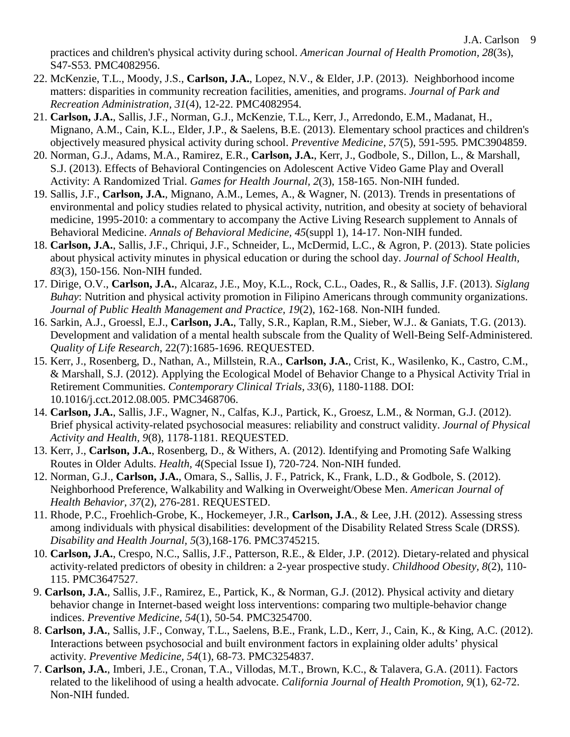practices and children's physical activity during school. *American Journal of Health Promotion, 28*(3s), S47-S53. PMC4082956.

- 22. McKenzie, T.L., Moody, J.S., **Carlson, J.A.**, Lopez, N.V., & Elder, J.P. (2013). Neighborhood income matters: disparities in community recreation facilities, amenities, and programs. *Journal of Park and Recreation Administration, 31*(4), 12-22. PMC4082954.
- 21. **Carlson, J.A.**, Sallis, J.F., Norman, G.J., McKenzie, T.L., Kerr, J., Arredondo, E.M., Madanat, H., Mignano, A.M., Cain, K.L., Elder, J.P., & Saelens, B.E. (2013). Elementary school practices and children's objectively measured physical activity during school. *Preventive Medicine, 57*(5), 591-595*.* PMC3904859.
- 20. Norman, G.J., Adams, M.A., Ramirez, E.R., **Carlson, J.A.**, Kerr, J., Godbole, S., Dillon, L., & Marshall, S.J. (2013). Effects of Behavioral Contingencies on Adolescent Active Video Game Play and Overall Activity: A Randomized Trial. *Games for Health Journal, 2*(3), 158-165. Non-NIH funded.
- 19. Sallis, J.F., **Carlson, J.A.**, Mignano, A.M., Lemes, A., & Wagner, N. (2013). Trends in presentations of environmental and policy studies related to physical activity, nutrition, and obesity at society of behavioral medicine, 1995-2010: a commentary to accompany the Active Living Research supplement to Annals of Behavioral Medicine. *Annals of Behavioral Medicine, 45*(suppl 1), 14-17. Non-NIH funded.
- 18. **Carlson, J.A.**, Sallis, J.F., Chriqui, J.F., Schneider, L., McDermid, L.C., & Agron, P. (2013). State policies about physical activity minutes in physical education or during the school day. *Journal of School Health, 83*(3), 150-156. Non-NIH funded.
- 17. Dirige, O.V., **Carlson, J.A.**, Alcaraz, J.E., Moy, K.L., Rock, C.L., Oades, R., & Sallis, J.F. (2013). *Siglang Buhay*: Nutrition and physical activity promotion in Filipino Americans through community organizations. *Journal of Public Health Management and Practice, 19*(2), 162-168. Non-NIH funded.
- 16. Sarkin, A.J., Groessl, E.J., **Carlson, J.A.**, Tally, S.R., Kaplan, R.M., Sieber, W.J.. & Ganiats, T.G. (2013). Development and validation of a mental health subscale from the Quality of Well-Being Self-Administered. *Quality of Life Research*, 22(7):1685-1696. REQUESTED.
- 15. Kerr, J., Rosenberg, D., Nathan, A., Millstein, R.A., **Carlson, J.A.**, Crist, K., Wasilenko, K., Castro, C.M., & Marshall, S.J. (2012). Applying the Ecological Model of Behavior Change to a Physical Activity Trial in Retirement Communities. *Contemporary Clinical Trials*, *33*(6), 1180-1188. DOI: 10.1016/j.cct.2012.08.005. PMC3468706.
- 14. **Carlson, J.A.**, Sallis, J.F., Wagner, N., Calfas, K.J., Partick, K., Groesz, L.M., & Norman, G.J. (2012). Brief physical activity-related psychosocial measures: reliability and construct validity. *Journal of Physical Activity and Health, 9*(8), 1178-1181. REQUESTED.
- 13. Kerr, J., **Carlson, J.A.**, Rosenberg, D., & Withers, A. (2012). Identifying and Promoting Safe Walking Routes in Older Adults. *Health, 4*(Special Issue I), 720-724. Non-NIH funded.
- 12. Norman, G.J., **Carlson, J.A.**, Omara, S., Sallis, J. F., Patrick, K., Frank, L.D., & Godbole, S. (2012). Neighborhood Preference, Walkability and Walking in Overweight/Obese Men. *American Journal of Health Behavior, 37*(2), 276-281. REQUESTED.
- 11. Rhode, P.C., Froehlich-Grobe, K., Hockemeyer, J.R., **Carlson, J.A**., & Lee, J.H. (2012). Assessing stress among individuals with physical disabilities: development of the Disability Related Stress Scale (DRSS)*. Disability and Health Journal, 5*(3)*,*168-176. PMC3745215.
- 10. **Carlson, J.A.**, Crespo, N.C., Sallis, J.F., Patterson, R.E., & Elder, J.P. (2012). Dietary-related and physical activity-related predictors of obesity in children: a 2-year prospective study. *Childhood Obesity, 8*(2), 110- 115. PMC3647527.
- 9. **Carlson, J.A.**, Sallis, J.F., Ramirez, E., Partick, K., & Norman, G.J. (2012). Physical activity and dietary behavior change in Internet-based weight loss interventions: comparing two multiple-behavior change indices. *Preventive Medicine, 54*(1), 50-54. PMC3254700.
- 8. **Carlson, J.A.**, Sallis, J.F., Conway, T.L., Saelens, B.E., Frank, L.D., Kerr, J., Cain, K., & King, A.C. (2012). Interactions between psychosocial and built environment factors in explaining older adults' physical activity. *Preventive Medicine, 54*(1), 68-73. PMC3254837.
- 7. **Carlson, J.A.**, Imberi, J.E., Cronan, T.A., Villodas, M.T., Brown, K.C., & Talavera, G.A. (2011). Factors related to the likelihood of using a health advocate. *California Journal of Health Promotion, 9*(1), 62-72. Non-NIH funded.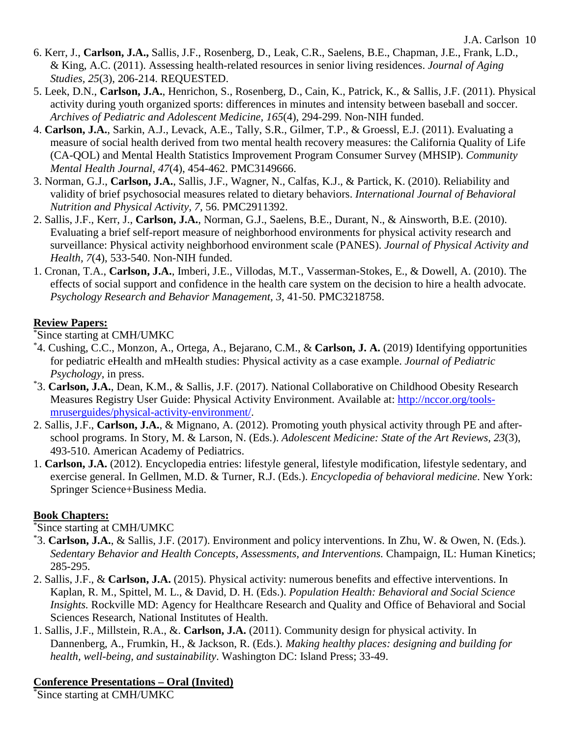- 6. Kerr, J., **Carlson, J.A.,** Sallis, J.F., Rosenberg, D., Leak, C.R., Saelens, B.E., Chapman, J.E., Frank, L.D., & King, A.C. (2011). Assessing health-related resources in senior living residences. *Journal of Aging Studies, 25*(3), 206-214. REQUESTED.
- 5. Leek, D.N., **Carlson, J.A.**, Henrichon, S., Rosenberg, D., Cain, K., Patrick, K., & Sallis, J.F. (2011). Physical activity during youth organized sports: differences in minutes and intensity between baseball and soccer. *Archives of Pediatric and Adolescent Medicine, 165*(4), 294-299. Non-NIH funded.
- 4. **Carlson, J.A.**, Sarkin, A.J., Levack, A.E., Tally, S.R., Gilmer, T.P., & Groessl, E.J. (2011). Evaluating a measure of social health derived from two mental health recovery measures: the California Quality of Life (CA-QOL) and Mental Health Statistics Improvement Program Consumer Survey (MHSIP). *Community Mental Health Journal, 47*(4), 454-462. PMC3149666.
- 3. Norman, G.J., **Carlson, J.A.**, Sallis, J.F., Wagner, N., Calfas, K.J., & Partick, K. (2010). Reliability and validity of brief psychosocial measures related to dietary behaviors. *International Journal of Behavioral Nutrition and Physical Activity, 7*, 56. PMC2911392.
- 2. Sallis, J.F., Kerr, J., **Carlson, J.A.**, Norman, G.J., Saelens, B.E., Durant, N., & Ainsworth, B.E. (2010). Evaluating a brief self-report measure of neighborhood environments for physical activity research and surveillance: Physical activity neighborhood environment scale (PANES). *Journal of Physical Activity and Health, 7*(4), 533-540. Non-NIH funded.
- 1. Cronan, T.A., **Carlson, J.A.**, Imberi, J.E., Villodas, M.T., Vasserman-Stokes, E., & Dowell, A. (2010). The effects of social support and confidence in the health care system on the decision to hire a health advocate. *Psychology Research and Behavior Management, 3*, 41-50. PMC3218758.

### **Review Papers:**

\* Since starting at CMH/UMKC

- \* 4. Cushing, C.C., Monzon, A., Ortega, A., Bejarano, C.M., & **Carlson, J. A.** (2019) Identifying opportunities for pediatric eHealth and mHealth studies: Physical activity as a case example. *Journal of Pediatric Psychology*, in press.
- \* 3. **Carlson, J.A.**, Dean, K.M., & Sallis, J.F. (2017). National Collaborative on Childhood Obesity Research Measures Registry User Guide: Physical Activity Environment. Available at: [http://nccor.org/tools](http://nccor.org/tools-mruserguides/physical-activity-environment/)[mruserguides/physical-activity-environment/.](http://nccor.org/tools-mruserguides/physical-activity-environment/)
- 2. Sallis, J.F., **Carlson, J.A.**, & Mignano, A. (2012). Promoting youth physical activity through PE and afterschool programs. In Story, M. & Larson, N. (Eds.). *Adolescent Medicine: State of the Art Reviews, 23*(3), 493-510. American Academy of Pediatrics.
- 1. **Carlson, J.A.** (2012). Encyclopedia entries: lifestyle general, lifestyle modification, lifestyle sedentary, and exercise general. In Gellmen, M.D. & Turner, R.J. (Eds.). *Encyclopedia of behavioral medicine*. New York: Springer Science+Business Media.

#### **Book Chapters:**

#### \* Since starting at CMH/UMKC

- \* 3. **Carlson, J.A.**, & Sallis, J.F. (2017). Environment and policy interventions. In Zhu, W. & Owen, N. (Eds*.*)*. Sedentary Behavior and Health Concepts, Assessments, and Interventions.* Champaign, IL: Human Kinetics; 285-295.
- 2. Sallis, J.F., & **Carlson, J.A.** (2015). Physical activity: numerous benefits and effective interventions. In Kaplan, R. M., Spittel, M. L., & David, D. H. (Eds.). *Population Health: Behavioral and Social Science Insights.* Rockville MD: Agency for Healthcare Research and Quality and Office of Behavioral and Social Sciences Research, National Institutes of Health.
- 1. Sallis, J.F., Millstein, R.A., &. **Carlson, J.A.** (2011). Community design for physical activity. In Dannenberg, A., Frumkin, H., & Jackson, R. (Eds.). *Making healthy places: designing and building for health, well-being, and sustainability*. Washington DC: Island Press; 33-49.

#### **Conference Presentations – Oral (Invited)**

\* Since starting at CMH/UMKC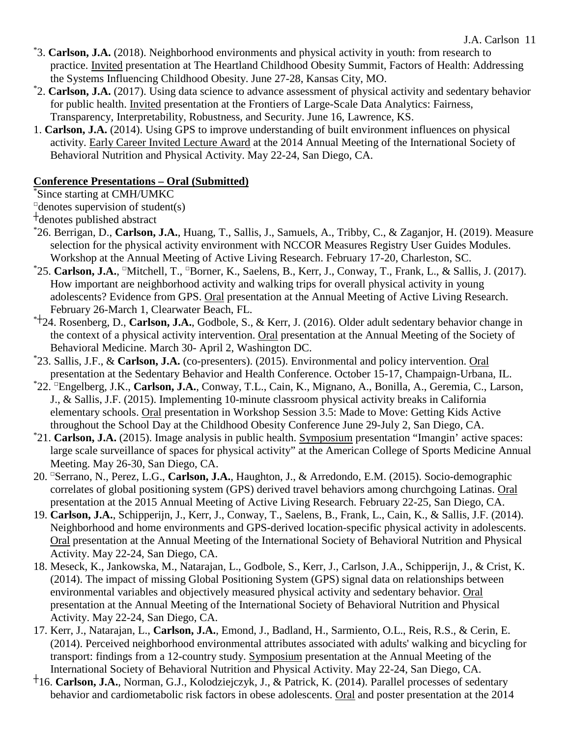- \* 3. **Carlson, J.A.** (2018). Neighborhood environments and physical activity in youth: from research to practice. Invited presentation at The Heartland Childhood Obesity Summit, Factors of Health: Addressing the Systems Influencing Childhood Obesity. June 27-28, Kansas City, MO.
- \* 2. **Carlson, J.A.** (2017). Using data science to advance assessment of physical activity and sedentary behavior for public health. Invited presentation at the Frontiers of Large-Scale Data Analytics: Fairness, Transparency, Interpretability, Robustness, and Security. June 16, Lawrence, KS.
- 1. **Carlson, J.A.** (2014). Using GPS to improve understanding of built environment influences on physical activity. Early Career Invited Lecture Award at the 2014 Annual Meeting of the International Society of Behavioral Nutrition and Physical Activity. May 22-24, San Diego, CA.

# **Conference Presentations – Oral (Submitted)**

\* Since starting at CMH/UMKC

 $\Box$ denotes supervision of student(s)

┼denotes published abstract

- \* 26. Berrigan, D., **Carlson, J.A.**, Huang, T., Sallis, J., Samuels, A., Tribby, C., & Zaganjor, H. (2019). Measure selection for the physical activity environment with NCCOR Measures Registry User Guides Modules. Workshop at the Annual Meeting of Active Living Research. February 17-20, Charleston, SC.
- \*25. **Carlson, J.A.**, <sup>□</sup>Mitchell, T., <sup>□</sup>Borner, K., Saelens, B., Kerr, J., Conway, T., Frank, L., & Sallis, J. (2017). How important are neighborhood activity and walking trips for overall physical activity in young adolescents? Evidence from GPS. Oral presentation at the Annual Meeting of Active Living Research. February 26-March 1, Clearwater Beach, FL.
- \*┼24. Rosenberg, D., **Carlson, J.A.**, Godbole, S., & Kerr, J. (2016). Older adult sedentary behavior change in the context of a physical activity intervention. Oral presentation at the Annual Meeting of the Society of Behavioral Medicine. March 30- April 2, Washington DC.
- \* 23. Sallis, J.F., & **Carlson, J.A.** (co-presenters). (2015). Environmental and policy intervention. Oral presentation at the Sedentary Behavior and Health Conference. October 15-17, Champaign-Urbana, IL. \*
- 22. □Engelberg, J.K., **Carlson, J.A.**, Conway, T.L., Cain, K., Mignano, A., Bonilla, A., Geremia, C., Larson, J., & Sallis, J.F. (2015). Implementing 10-minute classroom physical activity breaks in California elementary schools. Oral presentation in Workshop Session 3.5: Made to Move: Getting Kids Active throughout the School Day at the Childhood Obesity Conference June 29-July 2, San Diego, CA.
- \* 21. **Carlson, J.A.** (2015). Image analysis in public health. Symposium presentation "Imangin' active spaces: large scale surveillance of spaces for physical activity" at the American College of Sports Medicine Annual Meeting. May 26-30, San Diego, CA.
- 20. □Serrano, N., Perez, L.G., **Carlson, J.A.**, Haughton, J., & Arredondo, E.M. (2015). Socio-demographic correlates of global positioning system (GPS) derived travel behaviors among churchgoing Latinas. Oral presentation at the 2015 Annual Meeting of Active Living Research. February 22-25, San Diego, CA.
- 19. **Carlson, J.A.**, Schipperijn, J., Kerr, J., Conway, T., Saelens, B., Frank, L., Cain, K., & Sallis, J.F. (2014). Neighborhood and home environments and GPS-derived location-specific physical activity in adolescents. Oral presentation at the Annual Meeting of the International Society of Behavioral Nutrition and Physical Activity. May 22-24, San Diego, CA.
- 18. Meseck, K., Jankowska, M., Natarajan, L., Godbole, S., Kerr, J., Carlson, J.A., Schipperijn, J., & Crist, K. (2014). The impact of missing Global Positioning System (GPS) signal data on relationships between environmental variables and objectively measured physical activity and sedentary behavior. Oral presentation at the Annual Meeting of the International Society of Behavioral Nutrition and Physical Activity. May 22-24, San Diego, CA.
- 17. Kerr, J., Natarajan, L., **Carlson, J.A.**, Emond, J., Badland, H., Sarmiento, O.L., Reis, R.S., & Cerin, E. (2014). Perceived neighborhood environmental attributes associated with adults' walking and bicycling for transport: findings from a 12-country study. Symposium presentation at the Annual Meeting of the International Society of Behavioral Nutrition and Physical Activity. May 22-24, San Diego, CA.
- ┼16. **Carlson, J.A.**, Norman, G.J., Kolodziejczyk, J., & Patrick, K. (2014). Parallel processes of sedentary behavior and cardiometabolic risk factors in obese adolescents. Oral and poster presentation at the 2014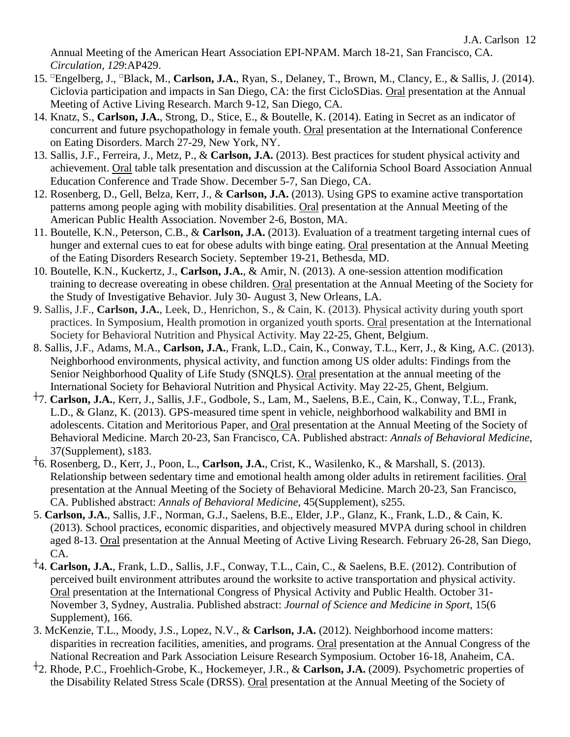Annual Meeting of the American Heart Association EPI-NPAM. March 18-21, San Francisco, CA. *Circulation, 129*:AP429.

- 15. □Engelberg, J., □Black, M., **Carlson, J.A.**, Ryan, S., Delaney, T., Brown, M., Clancy, E., & Sallis, J. (2014). Ciclovia participation and impacts in San Diego, CA: the first CicloSDias. Oral presentation at the Annual Meeting of Active Living Research. March 9-12, San Diego, CA.
- 14. Knatz, S., **Carlson, J.A.**, Strong, D., Stice, E., & Boutelle, K. (2014). Eating in Secret as an indicator of concurrent and future psychopathology in female youth. Oral presentation at the International Conference on Eating Disorders. March 27-29, New York, NY.
- 13. Sallis, J.F., Ferreira, J., Metz, P., & **Carlson, J.A.** (2013). Best practices for student physical activity and achievement. Oral table talk presentation and discussion at the California School Board Association Annual Education Conference and Trade Show. December 5-7, San Diego, CA.
- 12. Rosenberg, D., Gell, Belza, Kerr, J., & **Carlson, J.A.** (2013). Using GPS to examine active transportation patterns among people aging with mobility disabilities. Oral presentation at the Annual Meeting of the American Public Health Association. November 2-6, Boston, MA.
- 11. Boutelle, K.N., Peterson, C.B., & **Carlson, J.A.** (2013). Evaluation of a treatment targeting internal cues of hunger and external cues to eat for obese adults with binge eating. Oral presentation at the Annual Meeting of the Eating Disorders Research Society. September 19-21, Bethesda, MD.
- 10. Boutelle, K.N., Kuckertz, J., **Carlson, J.A.**, & Amir, N. (2013). A one-session attention modification training to decrease overeating in obese children. Oral presentation at the Annual Meeting of the Society for the Study of Investigative Behavior. July 30- August 3, New Orleans, LA.
- 9. Sallis, J.F., **Carlson, J.A.**, Leek, D., Henrichon, S., & Cain, K. (2013). Physical activity during youth sport practices. In Symposium, Health promotion in organized youth sports. Oral presentation at the International Society for Behavioral Nutrition and Physical Activity. May 22-25, Ghent, Belgium.
- 8. Sallis, J.F., Adams, M.A., **Carlson, J.A.**, Frank, L.D., Cain, K., Conway, T.L., Kerr, J., & King, A.C. (2013). Neighborhood environments, physical activity, and function among US older adults: Findings from the Senior Neighborhood Quality of Life Study (SNQLS). Oral presentation at the annual meeting of the International Society for Behavioral Nutrition and Physical Activity. May 22-25, Ghent, Belgium.
- ┼7. **Carlson, J.A.**, Kerr, J., Sallis, J.F., Godbole, S., Lam, M., Saelens, B.E., Cain, K., Conway, T.L., Frank, L.D., & Glanz, K. (2013). GPS-measured time spent in vehicle, neighborhood walkability and BMI in adolescents. Citation and Meritorious Paper, and Oral presentation at the Annual Meeting of the Society of Behavioral Medicine. March 20-23, San Francisco, CA. Published abstract: *Annals of Behavioral Medicine*, 37(Supplement), s183.
- ┼6. Rosenberg, D., Kerr, J., Poon, L., **Carlson, J.A.**, Crist, K., Wasilenko, K., & Marshall, S. (2013). Relationship between sedentary time and emotional health among older adults in retirement facilities. Oral presentation at the Annual Meeting of the Society of Behavioral Medicine. March 20-23, San Francisco, CA. Published abstract: *Annals of Behavioral Medicine*, 45(Supplement), s255.
- 5. **Carlson, J.A.**, Sallis, J.F., Norman, G.J., Saelens, B.E., Elder, J.P., Glanz, K., Frank, L.D., & Cain, K. (2013). School practices, economic disparities, and objectively measured MVPA during school in children aged 8-13. Oral presentation at the Annual Meeting of Active Living Research. February 26-28, San Diego, CA.
- ┼4. **Carlson, J.A.**, Frank, L.D., Sallis, J.F., Conway, T.L., Cain, C., & Saelens, B.E. (2012). Contribution of perceived built environment attributes around the worksite to active transportation and physical activity. Oral presentation at the International Congress of Physical Activity and Public Health. October 31- November 3, Sydney, Australia. Published abstract: *Journal of Science and Medicine in Sport*, 15(6 Supplement), 166.
- 3. McKenzie, T.L., Moody, J.S., Lopez, N.V., & **Carlson, J.A.** (2012). Neighborhood income matters: disparities in recreation facilities, amenities, and programs. Oral presentation at the Annual Congress of the National Recreation and Park Association Leisure Research Symposium. October 16-18, Anaheim, CA.
- ┼2. Rhode, P.C., Froehlich-Grobe, K., Hockemeyer, J.R., & **Carlson, J.A.** (2009). Psychometric properties of the Disability Related Stress Scale (DRSS). Oral presentation at the Annual Meeting of the Society of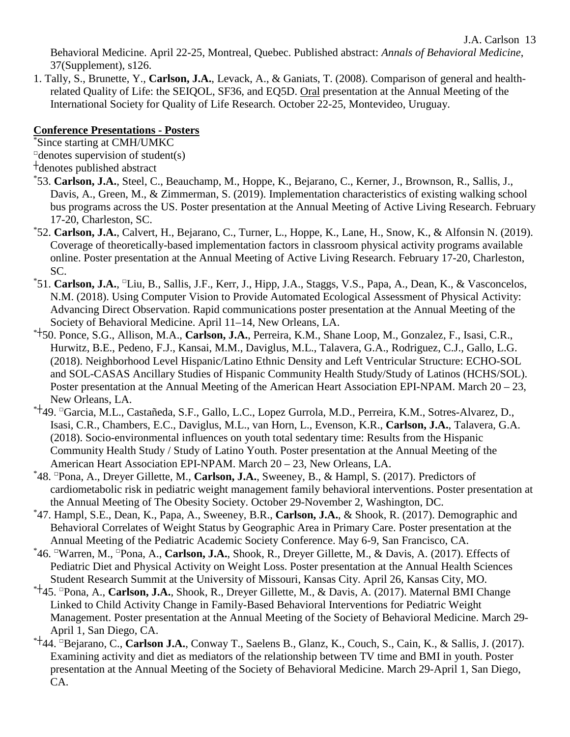J.A. Carlson 13

Behavioral Medicine. April 22-25, Montreal, Quebec. Published abstract: *Annals of Behavioral Medicine*, 37(Supplement), s126.

1. Tally, S., Brunette, Y., **Carlson, J.A.**, Levack, A., & Ganiats, T. (2008). Comparison of general and healthrelated Quality of Life: the SEIQOL, SF36, and EQ5D. Oral presentation at the Annual Meeting of the International Society for Quality of Life Research. October 22-25, Montevideo, Uruguay.

#### **Conference Presentations - Posters**

\* Since starting at CMH/UMKC

 $\Box$ denotes supervision of student(s)

┼denotes published abstract

- \* 53. **Carlson, J.A.**, Steel, C., Beauchamp, M., Hoppe, K., Bejarano, C., Kerner, J., Brownson, R., Sallis, J., Davis, A., Green, M., & Zimmerman, S. (2019). Implementation characteristics of existing walking school bus programs across the US. Poster presentation at the Annual Meeting of Active Living Research. February 17-20, Charleston, SC.
- \* 52. **Carlson, J.A.**, Calvert, H., Bejarano, C., Turner, L., Hoppe, K., Lane, H., Snow, K., & Alfonsin N. (2019). Coverage of theoretically-based implementation factors in classroom physical activity programs available online. Poster presentation at the Annual Meeting of Active Living Research. February 17-20, Charleston, SC.
- \*51. Carlson, J.A., <sup>□</sup>Liu, B., Sallis, J.F., Kerr, J., Hipp, J.A., Staggs, V.S., Papa, A., Dean, K., & Vasconcelos, N.M. (2018). Using Computer Vision to Provide Automated Ecological Assessment of Physical Activity: Advancing Direct Observation. Rapid communications poster presentation at the Annual Meeting of the Society of Behavioral Medicine. April 11–14, New Orleans, LA.
- \*┼50. Ponce, S.G., Allison, M.A., **Carlson, J.A.**, Perreira, K.M., Shane Loop, M., Gonzalez, F., Isasi, C.R., Hurwitz, B.E., Pedeno, F.J., Kansai, M.M., Daviglus, M.L., Talavera, G.A., Rodriguez, C.J., Gallo, L.G. (2018). Neighborhood Level Hispanic/Latino Ethnic Density and Left Ventricular Structure: ECHO-SOL and SOL-CASAS Ancillary Studies of Hispanic Community Health Study/Study of Latinos (HCHS/SOL). Poster presentation at the Annual Meeting of the American Heart Association EPI-NPAM. March 20 – 23, New Orleans, LA.
- \*┼49. □Garcia, M.L., Castañeda, S.F., Gallo, L.C., Lopez Gurrola, M.D., Perreira, K.M., Sotres-Alvarez, D., Isasi, C.R., Chambers, E.C., Daviglus, M.L., van Horn, L., Evenson, K.R., **Carlson, J.A.**, Talavera, G.A. (2018). Socio-environmental influences on youth total sedentary time: Results from the Hispanic Community Health Study / Study of Latino Youth. Poster presentation at the Annual Meeting of the American Heart Association EPI-NPAM. March 20 – 23, New Orleans, LA.
- \* 48. □Pona, A., Dreyer Gillette, M., **Carlson, J.A.**, Sweeney, B., & Hampl, S. (2017). Predictors of cardiometabolic risk in pediatric weight management family behavioral interventions. Poster presentation at the Annual Meeting of The Obesity Society. October 29-November 2, Washington, DC. \*
- 47. Hampl, S.E., Dean, K., Papa, A., Sweeney, B.R., **Carlson, J.A.**, & Shook, R. (2017). Demographic and Behavioral Correlates of Weight Status by Geographic Area in Primary Care. Poster presentation at the Annual Meeting of the Pediatric Academic Society Conference. May 6-9, San Francisco, CA.
- \* 46. □Warren, M., □Pona, A., **Carlson, J.A.**, Shook, R., Dreyer Gillette, M., & Davis, A. (2017). Effects of Pediatric Diet and Physical Activity on Weight Loss. Poster presentation at the Annual Health Sciences Student Research Summit at the University of Missouri, Kansas City. April 26, Kansas City, MO.
- \*┼45. □Pona, A., **Carlson, J.A.**, Shook, R., Dreyer Gillette, M., & Davis, A. (2017). Maternal BMI Change Linked to Child Activity Change in Family-Based Behavioral Interventions for Pediatric Weight Management. Poster presentation at the Annual Meeting of the Society of Behavioral Medicine. March 29- April 1, San Diego, CA.
- \*┼44. □Bejarano, C., **Carlson J.A.**, Conway T., Saelens B., Glanz, K., Couch, S., Cain, K., & Sallis, J. (2017). Examining activity and diet as mediators of the relationship between TV time and BMI in youth. Poster presentation at the Annual Meeting of the Society of Behavioral Medicine. March 29-April 1, San Diego, CA.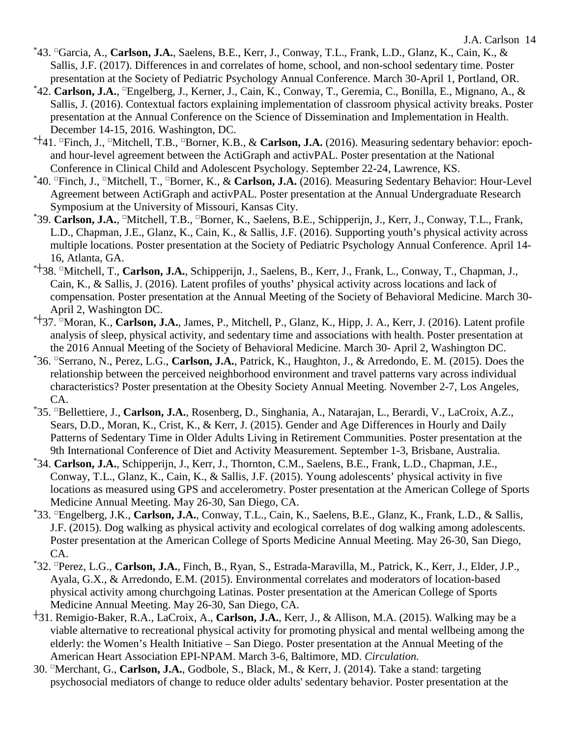- \* 43. □Garcia, A., **Carlson, J.A.**, Saelens, B.E., Kerr, J., Conway, T.L., Frank, L.D., Glanz, K., Cain, K., & Sallis, J.F. (2017). Differences in and correlates of home, school, and non-school sedentary time. Poster presentation at the Society of Pediatric Psychology Annual Conference. March 30-April 1, Portland, OR.
- \*42. Carlson, J.A., <sup>□</sup>Engelberg, J., Kerner, J., Cain, K., Conway, T., Geremia, C., Bonilla, E., Mignano, A., & Sallis, J. (2016). Contextual factors explaining implementation of classroom physical activity breaks. Poster presentation at the Annual Conference on the Science of Dissemination and Implementation in Health. December 14-15, 2016. Washington, DC.
- \*┼41. □Finch, J., □Mitchell, T.B., □Borner, K.B., & **Carlson, J.A.** (2016). Measuring sedentary behavior: epochand hour-level agreement between the ActiGraph and activPAL. Poster presentation at the National Conference in Clinical Child and Adolescent Psychology. September 22-24, Lawrence, KS. \*
- <sup>\*</sup>40. <sup>□</sup>Finch, J., <sup>□</sup>Mitchell, T., <sup>□</sup>Borner, K., & **Carlson, J.A.** (2016). Measuring Sedentary Behavior: Hour-Level Agreement between ActiGraph and activPAL. Poster presentation at the Annual Undergraduate Research Symposium at the University of Missouri, Kansas City.
- \*39. **Carlson, J.A.**, <sup>□</sup>Mitchell, T.B., <sup>□</sup>Borner, K., Saelens, B.E., Schipperijn, J., Kerr, J., Conway, T.L., Frank, L.D., Chapman, J.E., Glanz, K., Cain, K., & Sallis, J.F. (2016). Supporting youth's physical activity across multiple locations. Poster presentation at the Society of Pediatric Psychology Annual Conference. April 14- 16, Atlanta, GA.
- \*┼38. □Mitchell, T., **Carlson, J.A.**, Schipperijn, J., Saelens, B., Kerr, J., Frank, L., Conway, T., Chapman, J., Cain, K., & Sallis, J. (2016). Latent profiles of youths' physical activity across locations and lack of compensation. Poster presentation at the Annual Meeting of the Society of Behavioral Medicine. March 30- April 2, Washington DC.
- \*┼37. □Moran, K., **Carlson, J.A.**, James, P., Mitchell, P., Glanz, K., Hipp, J. A., Kerr, J. (2016). Latent profile analysis of sleep, physical activity, and sedentary time and associations with health. Poster presentation at the 2016 Annual Meeting of the Society of Behavioral Medicine. March 30- April 2, Washington DC.
- \* 36. □Serrano, N., Perez, L.G., **Carlson, J.A.**, Patrick, K., Haughton, J., & Arredondo, E. M. (2015). Does the relationship between the perceived neighborhood environment and travel patterns vary across individual characteristics? Poster presentation at the Obesity Society Annual Meeting. November 2-7, Los Angeles, CA.
- \* 35. □Bellettiere, J., **Carlson, J.A.**, Rosenberg, D., Singhania, A., Natarajan, L., Berardi, V., LaCroix, A.Z., Sears, D.D., Moran, K., Crist, K., & Kerr, J. (2015). Gender and Age Differences in Hourly and Daily Patterns of Sedentary Time in Older Adults Living in Retirement Communities. Poster presentation at the 9th International Conference of Diet and Activity Measurement. September 1-3, Brisbane, Australia.
- \* 34. **Carlson, J.A.**, Schipperijn, J., Kerr, J., Thornton, C.M., Saelens, B.E., Frank, L.D., Chapman, J.E., Conway, T.L., Glanz, K., Cain, K., & Sallis, J.F. (2015). Young adolescents' physical activity in five locations as measured using GPS and accelerometry. Poster presentation at the American College of Sports Medicine Annual Meeting. May 26-30, San Diego, CA.
- \* 33. □Engelberg, J.K., **Carlson, J.A.**, Conway, T.L., Cain, K., Saelens, B.E., Glanz, K., Frank, L.D., & Sallis, J.F. (2015). Dog walking as physical activity and ecological correlates of dog walking among adolescents. Poster presentation at the American College of Sports Medicine Annual Meeting. May 26-30, San Diego, CA.
- \* 32. □Perez, L.G., **Carlson, J.A.**, Finch, B., Ryan, S., Estrada-Maravilla, M., Patrick, K., Kerr, J., Elder, J.P., Ayala, G.X., & Arredondo, E.M. (2015). Environmental correlates and moderators of location-based physical activity among churchgoing Latinas. Poster presentation at the American College of Sports Medicine Annual Meeting. May 26-30, San Diego, CA.
- ┼31. Remigio-Baker, R.A., LaCroix, A., **Carlson, J.A.**, Kerr, J., & Allison, M.A. (2015). Walking may be a viable alternative to recreational physical activity for promoting physical and mental wellbeing among the elderly: the Women's Health Initiative – San Diego. Poster presentation at the Annual Meeting of the American Heart Association EPI-NPAM. March 3-6, Baltimore, MD. *Circulation.*
- 30. □Merchant, G., **Carlson, J.A.**, Godbole, S., Black, M., & Kerr, J. (2014). Take a stand: targeting psychosocial mediators of change to reduce older adults' sedentary behavior. Poster presentation at the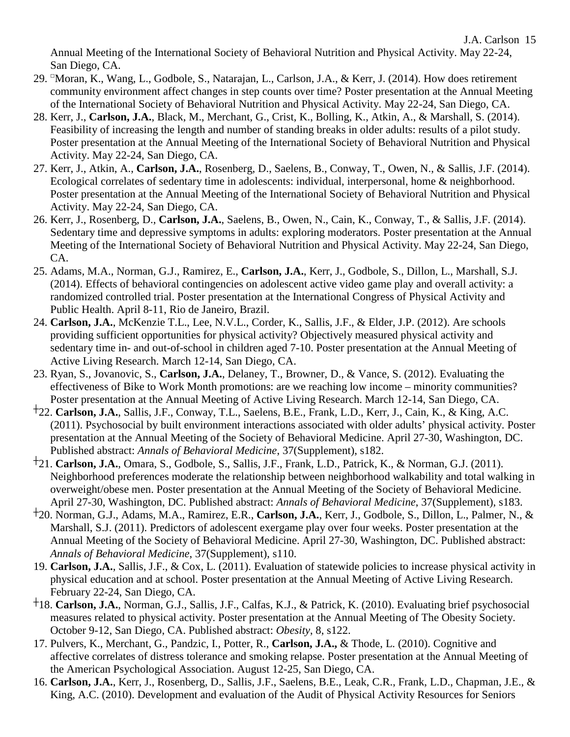J.A. Carlson 15

Annual Meeting of the International Society of Behavioral Nutrition and Physical Activity. May 22-24, San Diego, CA.

- 29. □Moran, K., Wang, L., Godbole, S., Natarajan, L., Carlson, J.A., & Kerr, J. (2014). How does retirement community environment affect changes in step counts over time? Poster presentation at the Annual Meeting of the International Society of Behavioral Nutrition and Physical Activity. May 22-24, San Diego, CA.
- 28. Kerr, J., **Carlson, J.A.**, Black, M., Merchant, G., Crist, K., Bolling, K., Atkin, A., & Marshall, S. (2014). Feasibility of increasing the length and number of standing breaks in older adults: results of a pilot study. Poster presentation at the Annual Meeting of the International Society of Behavioral Nutrition and Physical Activity. May 22-24, San Diego, CA.
- 27. Kerr, J., Atkin, A., **Carlson, J.A.**, Rosenberg, D., Saelens, B., Conway, T., Owen, N., & Sallis, J.F. (2014). Ecological correlates of sedentary time in adolescents: individual, interpersonal, home & neighborhood. Poster presentation at the Annual Meeting of the International Society of Behavioral Nutrition and Physical Activity. May 22-24, San Diego, CA.
- 26. Kerr, J., Rosenberg, D., **Carlson, J.A.**, Saelens, B., Owen, N., Cain, K., Conway, T., & Sallis, J.F. (2014). Sedentary time and depressive symptoms in adults: exploring moderators. Poster presentation at the Annual Meeting of the International Society of Behavioral Nutrition and Physical Activity. May 22-24, San Diego, CA.
- 25. Adams, M.A., Norman, G.J., Ramirez, E., **Carlson, J.A.**, Kerr, J., Godbole, S., Dillon, L., Marshall, S.J. (2014). Effects of behavioral contingencies on adolescent active video game play and overall activity: a randomized controlled trial. Poster presentation at the International Congress of Physical Activity and Public Health. April 8-11, Rio de Janeiro, Brazil.
- 24. **Carlson, J.A.**, McKenzie T.L., Lee, N.V.L., Corder, K., Sallis, J.F., & Elder, J.P. (2012). Are schools providing sufficient opportunities for physical activity? Objectively measured physical activity and sedentary time in- and out-of-school in children aged 7-10. Poster presentation at the Annual Meeting of Active Living Research. March 12-14, San Diego, CA.
- 23. Ryan, S., Jovanovic, S., **Carlson, J.A.**, Delaney, T., Browner, D., & Vance, S. (2012). Evaluating the effectiveness of Bike to Work Month promotions: are we reaching low income – minority communities? Poster presentation at the Annual Meeting of Active Living Research. March 12-14, San Diego, CA.
- ┼22. **Carlson, J.A.**, Sallis, J.F., Conway, T.L., Saelens, B.E., Frank, L.D., Kerr, J., Cain, K., & King, A.C. (2011). Psychosocial by built environment interactions associated with older adults' physical activity. Poster presentation at the Annual Meeting of the Society of Behavioral Medicine. April 27-30, Washington, DC. Published abstract: *Annals of Behavioral Medicine*, 37(Supplement), s182.
- ┼21. **Carlson, J.A.**, Omara, S., Godbole, S., Sallis, J.F., Frank, L.D., Patrick, K., & Norman, G.J. (2011). Neighborhood preferences moderate the relationship between neighborhood walkability and total walking in overweight/obese men. Poster presentation at the Annual Meeting of the Society of Behavioral Medicine. April 27-30, Washington, DC. Published abstract: *Annals of Behavioral Medicine*, 37(Supplement), s183.
- ┼20. Norman, G.J., Adams, M.A., Ramirez, E.R., **Carlson, J.A.**, Kerr, J., Godbole, S., Dillon, L., Palmer, N., & Marshall, S.J. (2011). Predictors of adolescent exergame play over four weeks. Poster presentation at the Annual Meeting of the Society of Behavioral Medicine. April 27-30, Washington, DC. Published abstract: *Annals of Behavioral Medicine*, 37(Supplement), s110.
- 19. **Carlson, J.A.**, Sallis, J.F., & Cox, L. (2011). Evaluation of statewide policies to increase physical activity in physical education and at school. Poster presentation at the Annual Meeting of Active Living Research. February 22-24, San Diego, CA.
- ┼18. **Carlson, J.A.**, Norman, G.J., Sallis, J.F., Calfas, K.J., & Patrick, K. (2010). Evaluating brief psychosocial measures related to physical activity. Poster presentation at the Annual Meeting of The Obesity Society. October 9-12, San Diego, CA. Published abstract: *Obesity*, 8, s122.
- 17. Pulvers, K., Merchant, G., Pandzic, I., Potter, R., **Carlson, J.A.,** & Thode, L. (2010). Cognitive and affective correlates of distress tolerance and smoking relapse. Poster presentation at the Annual Meeting of the American Psychological Association. August 12-25, San Diego, CA.
- 16. **Carlson, J.A.**, Kerr, J., Rosenberg, D., Sallis, J.F., Saelens, B.E., Leak, C.R., Frank, L.D., Chapman, J.E., & King, A.C. (2010). Development and evaluation of the Audit of Physical Activity Resources for Seniors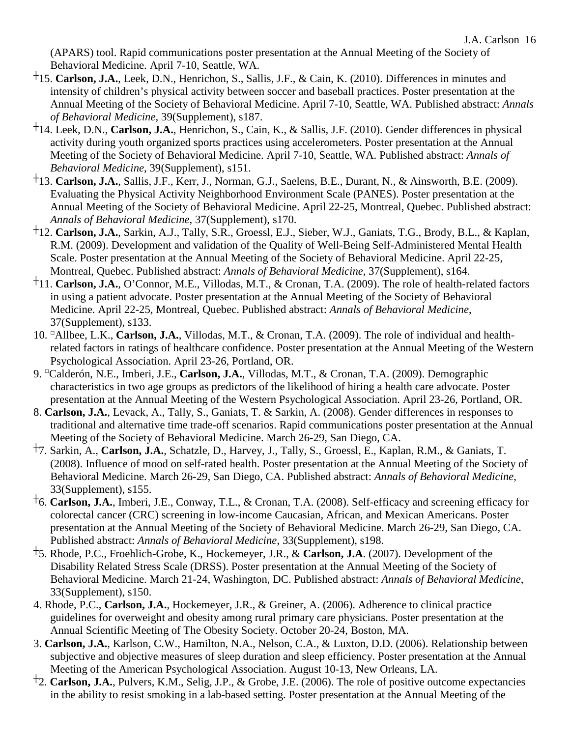(APARS) tool. Rapid communications poster presentation at the Annual Meeting of the Society of Behavioral Medicine. April 7-10, Seattle, WA.

- ┼15. **Carlson, J.A.**, Leek, D.N., Henrichon, S., Sallis, J.F., & Cain, K. (2010). Differences in minutes and intensity of children's physical activity between soccer and baseball practices. Poster presentation at the Annual Meeting of the Society of Behavioral Medicine. April 7-10, Seattle, WA. Published abstract: *Annals of Behavioral Medicine*, 39(Supplement), s187.
- ┼14. Leek, D.N., **Carlson, J.A.**, Henrichon, S., Cain, K., & Sallis, J.F. (2010). Gender differences in physical activity during youth organized sports practices using accelerometers. Poster presentation at the Annual Meeting of the Society of Behavioral Medicine. April 7-10, Seattle, WA. Published abstract: *Annals of Behavioral Medicine*, 39(Supplement), s151.
- ┼13. **Carlson, J.A.**, Sallis, J.F., Kerr, J., Norman, G.J., Saelens, B.E., Durant, N., & Ainsworth, B.E. (2009). Evaluating the Physical Activity Neighborhood Environment Scale (PANES). Poster presentation at the Annual Meeting of the Society of Behavioral Medicine. April 22-25, Montreal, Quebec. Published abstract: *Annals of Behavioral Medicine*, 37(Supplement), s170.
- ┼12. **Carlson, J.A.**, Sarkin, A.J., Tally, S.R., Groessl, E.J., Sieber, W.J., Ganiats, T.G., Brody, B.L., & Kaplan, R.M. (2009). Development and validation of the Quality of Well-Being Self-Administered Mental Health Scale. Poster presentation at the Annual Meeting of the Society of Behavioral Medicine. April 22-25, Montreal, Quebec. Published abstract: *Annals of Behavioral Medicine*, 37(Supplement), s164.
- ┼11. **Carlson, J.A.**, O'Connor, M.E., Villodas, M.T., & Cronan, T.A. (2009). The role of health-related factors in using a patient advocate. Poster presentation at the Annual Meeting of the Society of Behavioral Medicine. April 22-25, Montreal, Quebec. Published abstract: *Annals of Behavioral Medicine*, 37(Supplement), s133.
- 10. □Allbee, L.K., **Carlson, J.A.**, Villodas, M.T., & Cronan, T.A. (2009). The role of individual and healthrelated factors in ratings of healthcare confidence. Poster presentation at the Annual Meeting of the Western Psychological Association. April 23-26, Portland, OR.
- 9. □Calderón, N.E., Imberi, J.E., **Carlson, J.A.**, Villodas, M.T., & Cronan, T.A. (2009). Demographic characteristics in two age groups as predictors of the likelihood of hiring a health care advocate. Poster presentation at the Annual Meeting of the Western Psychological Association. April 23-26, Portland, OR.
- 8. **Carlson, J.A.**, Levack, A., Tally, S., Ganiats, T. & Sarkin, A. (2008). Gender differences in responses to traditional and alternative time trade-off scenarios. Rapid communications poster presentation at the Annual Meeting of the Society of Behavioral Medicine. March 26-29, San Diego, CA.
- ┼7. Sarkin, A., **Carlson, J.A.**, Schatzle, D., Harvey, J., Tally, S., Groessl, E., Kaplan, R.M., & Ganiats, T. (2008). Influence of mood on self-rated health. Poster presentation at the Annual Meeting of the Society of Behavioral Medicine. March 26-29, San Diego, CA. Published abstract: *Annals of Behavioral Medicine*, 33(Supplement), s155.
- ┼6. **Carlson, J.A.**, Imberi, J.E., Conway, T.L., & Cronan, T.A. (2008). Self-efficacy and screening efficacy for colorectal cancer (CRC) screening in low-income Caucasian, African, and Mexican Americans. Poster presentation at the Annual Meeting of the Society of Behavioral Medicine. March 26-29, San Diego, CA. Published abstract: *Annals of Behavioral Medicine*, 33(Supplement), s198.
- ┼5. Rhode, P.C., Froehlich-Grobe, K., Hockemeyer, J.R., & **Carlson, J.A**. (2007). Development of the Disability Related Stress Scale (DRSS). Poster presentation at the Annual Meeting of the Society of Behavioral Medicine. March 21-24, Washington, DC. Published abstract: *Annals of Behavioral Medicine*, 33(Supplement), s150.
- 4. Rhode, P.C., **Carlson, J.A.**, Hockemeyer, J.R., & Greiner, A. (2006). Adherence to clinical practice guidelines for overweight and obesity among rural primary care physicians. Poster presentation at the Annual Scientific Meeting of The Obesity Society. October 20-24, Boston, MA.
- 3. **Carlson, J.A.**, Karlson, C.W., Hamilton, N.A., Nelson, C.A., & Luxton, D.D. (2006). Relationship between subjective and objective measures of sleep duration and sleep efficiency. Poster presentation at the Annual Meeting of the American Psychological Association. August 10-13, New Orleans, LA.
- ┼2. **Carlson, J.A.**, Pulvers, K.M., Selig, J.P., & Grobe, J.E. (2006). The role of positive outcome expectancies in the ability to resist smoking in a lab-based setting. Poster presentation at the Annual Meeting of the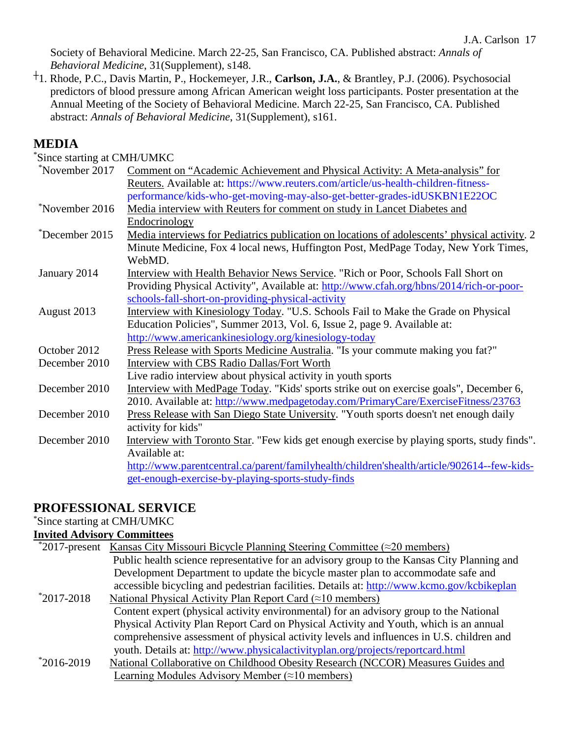Society of Behavioral Medicine. March 22-25, San Francisco, CA. Published abstract: *Annals of Behavioral Medicine*, 31(Supplement), s148.

┼1. Rhode, P.C., Davis Martin, P., Hockemeyer, J.R., **Carlson, J.A.**, & Brantley, P.J. (2006). Psychosocial predictors of blood pressure among African American weight loss participants. Poster presentation at the Annual Meeting of the Society of Behavioral Medicine. March 22-25, San Francisco, CA. Published abstract: *Annals of Behavioral Medicine*, 31(Supplement), s161.

# **MEDIA**

\* Since starting at CMH/UMKC

| *November 2017 | Comment on "Academic Achievement and Physical Activity: A Meta-analysis" for                  |
|----------------|-----------------------------------------------------------------------------------------------|
|                | Reuters. Available at: https://www.reuters.com/article/us-health-children-fitness-            |
|                | performance/kids-who-get-moving-may-also-get-better-grades-idUSKBN1E22OC                      |
| *November 2016 | Media interview with Reuters for comment on study in Lancet Diabetes and                      |
|                | Endocrinology                                                                                 |
| *December 2015 | Media interviews for Pediatrics publication on locations of adolescents' physical activity. 2 |
|                | Minute Medicine, Fox 4 local news, Huffington Post, MedPage Today, New York Times,            |
|                | WebMD.                                                                                        |
| January 2014   | Interview with Health Behavior News Service. "Rich or Poor, Schools Fall Short on             |
|                | Providing Physical Activity", Available at: http://www.cfah.org/hbns/2014/rich-or-poor-       |
|                | schools-fall-short-on-providing-physical-activity                                             |
| August 2013    | Interview with Kinesiology Today. "U.S. Schools Fail to Make the Grade on Physical            |
|                | Education Policies", Summer 2013, Vol. 6, Issue 2, page 9. Available at:                      |
|                | http://www.americankinesiology.org/kinesiology-today                                          |
| October 2012   | Press Release with Sports Medicine Australia. "Is your commute making you fat?"               |
| December 2010  | Interview with CBS Radio Dallas/Fort Worth                                                    |
|                | Live radio interview about physical activity in youth sports                                  |
| December 2010  | Interview with MedPage Today. "Kids' sports strike out on exercise goals", December 6,        |
|                | 2010. Available at: http://www.medpagetoday.com/PrimaryCare/ExerciseFitness/23763             |
| December 2010  | Press Release with San Diego State University. "Youth sports doesn't net enough daily         |
|                | activity for kids"                                                                            |
| December 2010  | Interview with Toronto Star. "Few kids get enough exercise by playing sports, study finds".   |
|                | Available at:                                                                                 |
|                | http://www.parentcentral.ca/parent/familyhealth/children'shealth/article/902614--few-kids-    |
|                | get-enough-exercise-by-playing-sports-study-finds                                             |
|                |                                                                                               |

# **PROFESSIONAL SERVICE**

#### \* Since starting at CMH/UMKC

#### **Invited Advisory Committees**

|                | *2017-present Kansas City Missouri Bicycle Planning Steering Committee ( $\approx$ 20 members) |
|----------------|------------------------------------------------------------------------------------------------|
|                | Public health science representative for an advisory group to the Kansas City Planning and     |
|                | Development Department to update the bicycle master plan to accommodate safe and               |
|                | accessible bicycling and pedestrian facilities. Details at: http://www.kcmo.gov/kcbikeplan     |
| $*2017 - 2018$ | National Physical Activity Plan Report Card $(\approx 10 \text{ members})$                     |
|                | Content expert (physical activity environmental) for an advisory group to the National         |
|                | Physical Activity Plan Report Card on Physical Activity and Youth, which is an annual          |
|                | comprehensive assessment of physical activity levels and influences in U.S. children and       |
|                | youth. Details at: http://www.physicalactivityplan.org/projects/reportcard.html                |
| $*2016-2019$   | National Collaborative on Childhood Obesity Research (NCCOR) Measures Guides and               |
|                | Learning Modules Advisory Member $(\approx 10 \text{ members})$                                |